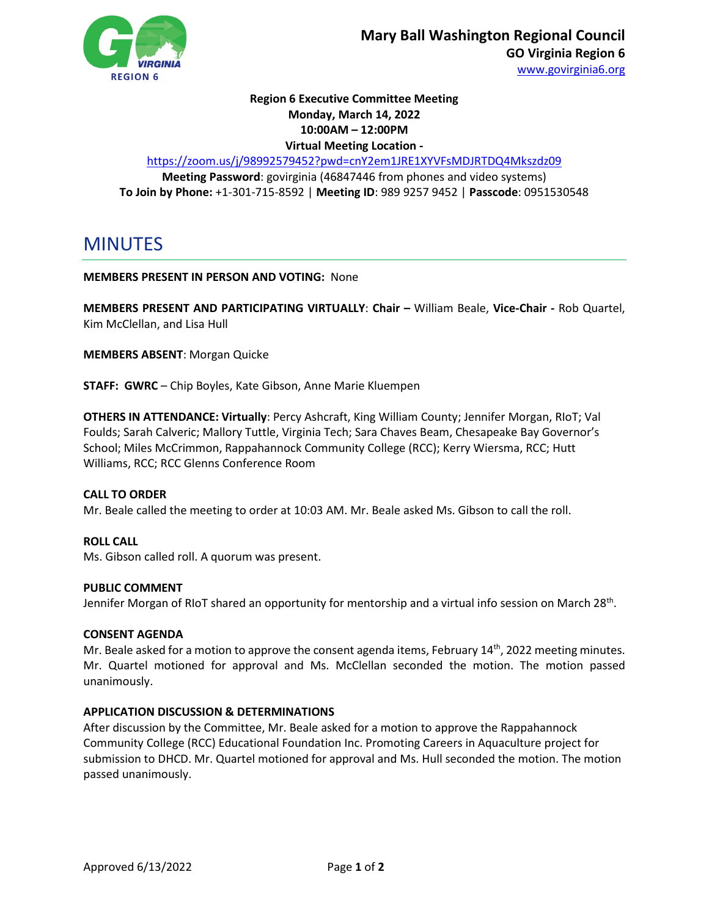

# **Region 6 Executive Committee Meeting Monday, March 14, 2022 10:00AM – 12:00PM Virtual Meeting Location -**

<https://zoom.us/j/98992579452?pwd=cnY2em1JRE1XYVFsMDJRTDQ4Mkszdz09>

**Meeting Password**: govirginia (46847446 from phones and video systems) **To Join by Phone:** +1-301-715-8592 | **Meeting ID**: 989 9257 9452 | **Passcode**: 0951530548

MINUTES

# **MEMBERS PRESENT IN PERSON AND VOTING:** None

**MEMBERS PRESENT AND PARTICIPATING VIRTUALLY**: **Chair –** William Beale, **Vice-Chair -** Rob Quartel, Kim McClellan, and Lisa Hull

**MEMBERS ABSENT**: Morgan Quicke

**STAFF: GWRC** – Chip Boyles, Kate Gibson, Anne Marie Kluempen

**OTHERS IN ATTENDANCE: Virtually**: Percy Ashcraft, King William County; Jennifer Morgan, RIoT; Val Foulds; Sarah Calveric; Mallory Tuttle, Virginia Tech; Sara Chaves Beam, Chesapeake Bay Governor's School; Miles McCrimmon, Rappahannock Community College (RCC); Kerry Wiersma, RCC; Hutt Williams, RCC; RCC Glenns Conference Room

## **CALL TO ORDER**

Mr. Beale called the meeting to order at 10:03 AM. Mr. Beale asked Ms. Gibson to call the roll.

**ROLL CALL** Ms. Gibson called roll. A quorum was present.

## **PUBLIC COMMENT**

Jennifer Morgan of RIoT shared an opportunity for mentorship and a virtual info session on March 28<sup>th</sup>.

## **CONSENT AGENDA**

Mr. Beale asked for a motion to approve the consent agenda items, February  $14<sup>th</sup>$ , 2022 meeting minutes. Mr. Quartel motioned for approval and Ms. McClellan seconded the motion. The motion passed unanimously.

# **APPLICATION DISCUSSION & DETERMINATIONS**

After discussion by the Committee, Mr. Beale asked for a motion to approve the Rappahannock Community College (RCC) Educational Foundation Inc. Promoting Careers in Aquaculture project for submission to DHCD. Mr. Quartel motioned for approval and Ms. Hull seconded the motion. The motion passed unanimously.